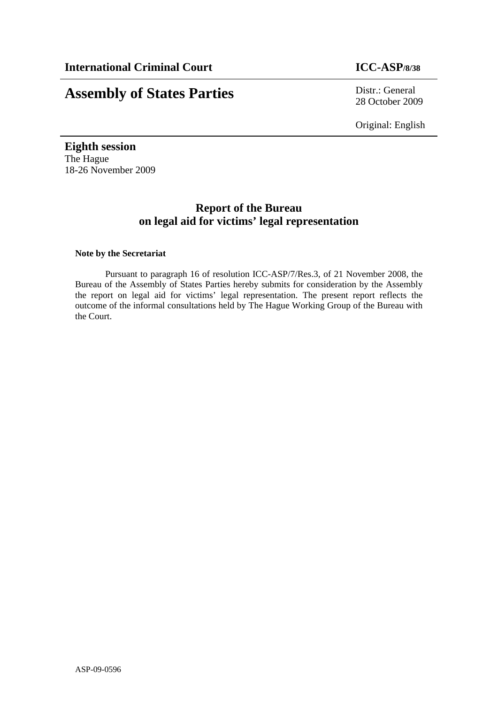# **Assembly of States Parties** Distr.: General

28 October 2009

Original: English

**Eighth session**  The Hague 18-26 November 2009

## **Report of the Bureau on legal aid for victims' legal representation**

#### **Note by the Secretariat**

Pursuant to paragraph 16 of resolution ICC-ASP/7/Res.3, of 21 November 2008, the Bureau of the Assembly of States Parties hereby submits for consideration by the Assembly the report on legal aid for victims' legal representation. The present report reflects the outcome of the informal consultations held by The Hague Working Group of the Bureau with the Court.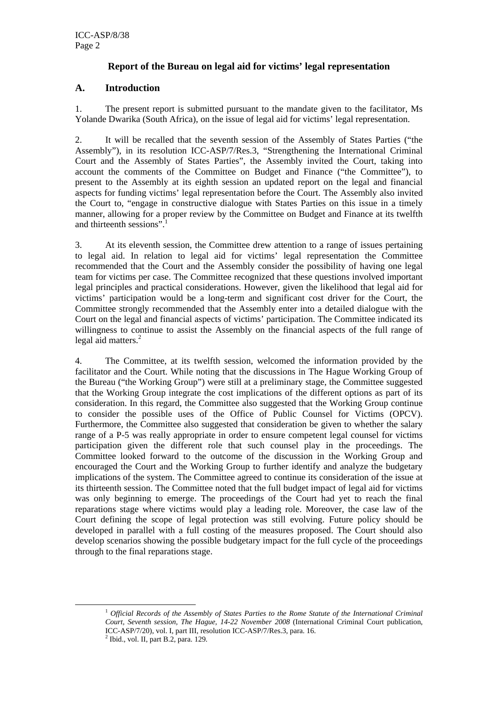## **Report of the Bureau on legal aid for victims' legal representation**

## **A. Introduction**

1. The present report is submitted pursuant to the mandate given to the facilitator, Ms Yolande Dwarika (South Africa), on the issue of legal aid for victims' legal representation.

2. It will be recalled that the seventh session of the Assembly of States Parties ("the Assembly"), in its resolution ICC-ASP/7/Res.3, "Strengthening the International Criminal Court and the Assembly of States Parties", the Assembly invited the Court, taking into account the comments of the Committee on Budget and Finance ("the Committee"), to present to the Assembly at its eighth session an updated report on the legal and financial aspects for funding victims' legal representation before the Court. The Assembly also invited the Court to, "engage in constructive dialogue with States Parties on this issue in a timely manner, allowing for a proper review by the Committee on Budget and Finance at its twelfth and thirteenth sessions".<sup>1</sup>

3. At its eleventh session, the Committee drew attention to a range of issues pertaining to legal aid. In relation to legal aid for victims' legal representation the Committee recommended that the Court and the Assembly consider the possibility of having one legal team for victims per case. The Committee recognized that these questions involved important legal principles and practical considerations. However, given the likelihood that legal aid for victims' participation would be a long-term and significant cost driver for the Court, the Committee strongly recommended that the Assembly enter into a detailed dialogue with the Court on the legal and financial aspects of victims' participation. The Committee indicated its willingness to continue to assist the Assembly on the financial aspects of the full range of legal aid matters.<sup>2</sup>

4. The Committee, at its twelfth session, welcomed the information provided by the facilitator and the Court. While noting that the discussions in The Hague Working Group of the Bureau ("the Working Group") were still at a preliminary stage, the Committee suggested that the Working Group integrate the cost implications of the different options as part of its consideration. In this regard, the Committee also suggested that the Working Group continue to consider the possible uses of the Office of Public Counsel for Victims (OPCV). Furthermore, the Committee also suggested that consideration be given to whether the salary range of a P-5 was really appropriate in order to ensure competent legal counsel for victims participation given the different role that such counsel play in the proceedings. The Committee looked forward to the outcome of the discussion in the Working Group and encouraged the Court and the Working Group to further identify and analyze the budgetary implications of the system. The Committee agreed to continue its consideration of the issue at its thirteenth session. The Committee noted that the full budget impact of legal aid for victims was only beginning to emerge. The proceedings of the Court had yet to reach the final reparations stage where victims would play a leading role. Moreover, the case law of the Court defining the scope of legal protection was still evolving. Future policy should be developed in parallel with a full costing of the measures proposed. The Court should also develop scenarios showing the possible budgetary impact for the full cycle of the proceedings through to the final reparations stage.

<sup>1</sup> *Official Records of the Assembly of States Parties to the Rome Statute of the International Criminal Court, Seventh session, The Hague, 14-22 November 2008* (International Criminal Court publication, ICC-ASP/7/20), vol. I, part III, resolution ICC-ASP/7/Res.3, para. 16. 2

 $<sup>2</sup>$  Ibid., vol. II, part B.2, para. 129.</sup>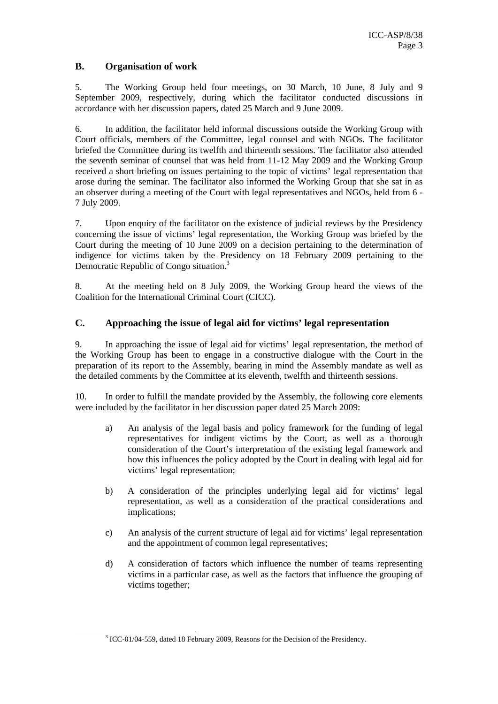## **B. Organisation of work**

5. The Working Group held four meetings, on 30 March, 10 June, 8 July and 9 September 2009, respectively, during which the facilitator conducted discussions in accordance with her discussion papers, dated 25 March and 9 June 2009.

6. In addition, the facilitator held informal discussions outside the Working Group with Court officials, members of the Committee, legal counsel and with NGOs. The facilitator briefed the Committee during its twelfth and thirteenth sessions. The facilitator also attended the seventh seminar of counsel that was held from 11-12 May 2009 and the Working Group received a short briefing on issues pertaining to the topic of victims' legal representation that arose during the seminar. The facilitator also informed the Working Group that she sat in as an observer during a meeting of the Court with legal representatives and NGOs, held from 6 - 7 July 2009.

7. Upon enquiry of the facilitator on the existence of judicial reviews by the Presidency concerning the issue of victims' legal representation, the Working Group was briefed by the Court during the meeting of 10 June 2009 on a decision pertaining to the determination of indigence for victims taken by the Presidency on 18 February 2009 pertaining to the Democratic Republic of Congo situation.<sup>3</sup>

8. At the meeting held on 8 July 2009, the Working Group heard the views of the Coalition for the International Criminal Court (CICC).

## **C. Approaching the issue of legal aid for victims' legal representation**

9. In approaching the issue of legal aid for victims' legal representation, the method of the Working Group has been to engage in a constructive dialogue with the Court in the preparation of its report to the Assembly, bearing in mind the Assembly mandate as well as the detailed comments by the Committee at its eleventh, twelfth and thirteenth sessions.

10. In order to fulfill the mandate provided by the Assembly, the following core elements were included by the facilitator in her discussion paper dated 25 March 2009:

- a) An analysis of the legal basis and policy framework for the funding of legal representatives for indigent victims by the Court, as well as a thorough consideration of the Court's interpretation of the existing legal framework and how this influences the policy adopted by the Court in dealing with legal aid for victims' legal representation;
- b) A consideration of the principles underlying legal aid for victims' legal representation, as well as a consideration of the practical considerations and implications;
- c) An analysis of the current structure of legal aid for victims' legal representation and the appointment of common legal representatives;
- d) A consideration of factors which influence the number of teams representing victims in a particular case, as well as the factors that influence the grouping of victims together;

<sup>3</sup> <sup>3</sup> ICC-01/04-559, dated 18 February 2009, Reasons for the Decision of the Presidency.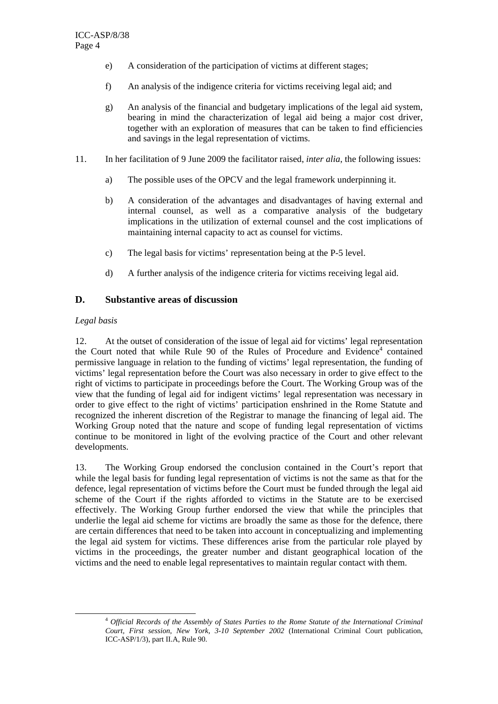- e) A consideration of the participation of victims at different stages;
- f) An analysis of the indigence criteria for victims receiving legal aid; and
- g) An analysis of the financial and budgetary implications of the legal aid system, bearing in mind the characterization of legal aid being a major cost driver, together with an exploration of measures that can be taken to find efficiencies and savings in the legal representation of victims.
- 11. In her facilitation of 9 June 2009 the facilitator raised, *inter alia*, the following issues:
	- a) The possible uses of the OPCV and the legal framework underpinning it.
	- b) A consideration of the advantages and disadvantages of having external and internal counsel, as well as a comparative analysis of the budgetary implications in the utilization of external counsel and the cost implications of maintaining internal capacity to act as counsel for victims.
	- c) The legal basis for victims' representation being at the P-5 level.
	- d) A further analysis of the indigence criteria for victims receiving legal aid.

## **D. Substantive areas of discussion**

#### *Legal basis*

12. At the outset of consideration of the issue of legal aid for victims' legal representation the Court noted that while Rule 90 of the Rules of Procedure and Evidence<sup>4</sup> contained permissive language in relation to the funding of victims' legal representation, the funding of victims' legal representation before the Court was also necessary in order to give effect to the right of victims to participate in proceedings before the Court. The Working Group was of the view that the funding of legal aid for indigent victims' legal representation was necessary in order to give effect to the right of victims' participation enshrined in the Rome Statute and recognized the inherent discretion of the Registrar to manage the financing of legal aid. The Working Group noted that the nature and scope of funding legal representation of victims continue to be monitored in light of the evolving practice of the Court and other relevant developments.

13. The Working Group endorsed the conclusion contained in the Court's report that while the legal basis for funding legal representation of victims is not the same as that for the defence, legal representation of victims before the Court must be funded through the legal aid scheme of the Court if the rights afforded to victims in the Statute are to be exercised effectively. The Working Group further endorsed the view that while the principles that underlie the legal aid scheme for victims are broadly the same as those for the defence, there are certain differences that need to be taken into account in conceptualizing and implementing the legal aid system for victims. These differences arise from the particular role played by victims in the proceedings, the greater number and distant geographical location of the victims and the need to enable legal representatives to maintain regular contact with them.

<sup>4</sup> *Official Records of the Assembly of States Parties to the Rome Statute of the International Criminal Court, First session, New York, 3-10 September 2002* (International Criminal Court publication, ICC-ASP/1/3), part II.A, Rule 90.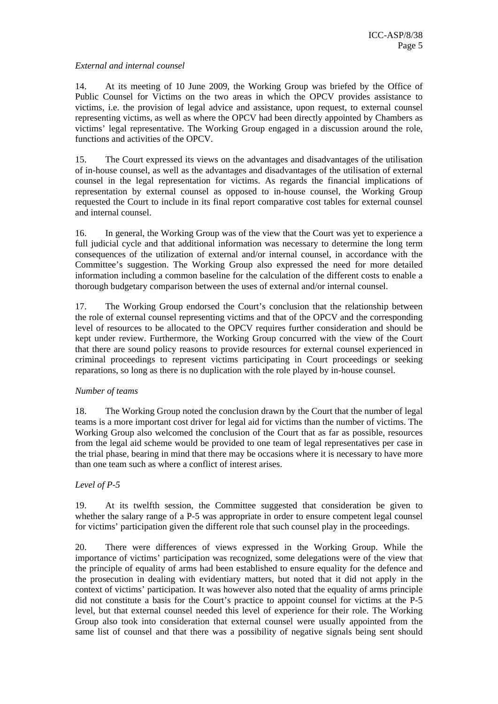#### *External and internal counsel*

14. At its meeting of 10 June 2009, the Working Group was briefed by the Office of Public Counsel for Victims on the two areas in which the OPCV provides assistance to victims, i.e. the provision of legal advice and assistance, upon request, to external counsel representing victims, as well as where the OPCV had been directly appointed by Chambers as victims' legal representative. The Working Group engaged in a discussion around the role, functions and activities of the OPCV.

15. The Court expressed its views on the advantages and disadvantages of the utilisation of in-house counsel, as well as the advantages and disadvantages of the utilisation of external counsel in the legal representation for victims. As regards the financial implications of representation by external counsel as opposed to in-house counsel, the Working Group requested the Court to include in its final report comparative cost tables for external counsel and internal counsel.

16. In general, the Working Group was of the view that the Court was yet to experience a full judicial cycle and that additional information was necessary to determine the long term consequences of the utilization of external and/or internal counsel, in accordance with the Committee's suggestion. The Working Group also expressed the need for more detailed information including a common baseline for the calculation of the different costs to enable a thorough budgetary comparison between the uses of external and/or internal counsel.

17. The Working Group endorsed the Court's conclusion that the relationship between the role of external counsel representing victims and that of the OPCV and the corresponding level of resources to be allocated to the OPCV requires further consideration and should be kept under review. Furthermore, the Working Group concurred with the view of the Court that there are sound policy reasons to provide resources for external counsel experienced in criminal proceedings to represent victims participating in Court proceedings or seeking reparations, so long as there is no duplication with the role played by in-house counsel.

## *Number of teams*

18. The Working Group noted the conclusion drawn by the Court that the number of legal teams is a more important cost driver for legal aid for victims than the number of victims. The Working Group also welcomed the conclusion of the Court that as far as possible, resources from the legal aid scheme would be provided to one team of legal representatives per case in the trial phase, bearing in mind that there may be occasions where it is necessary to have more than one team such as where a conflict of interest arises.

## *Level of P-5*

19. At its twelfth session, the Committee suggested that consideration be given to whether the salary range of a P-5 was appropriate in order to ensure competent legal counsel for victims' participation given the different role that such counsel play in the proceedings.

20. There were differences of views expressed in the Working Group. While the importance of victims' participation was recognized, some delegations were of the view that the principle of equality of arms had been established to ensure equality for the defence and the prosecution in dealing with evidentiary matters, but noted that it did not apply in the context of victims' participation. It was however also noted that the equality of arms principle did not constitute a basis for the Court's practice to appoint counsel for victims at the P-5 level, but that external counsel needed this level of experience for their role. The Working Group also took into consideration that external counsel were usually appointed from the same list of counsel and that there was a possibility of negative signals being sent should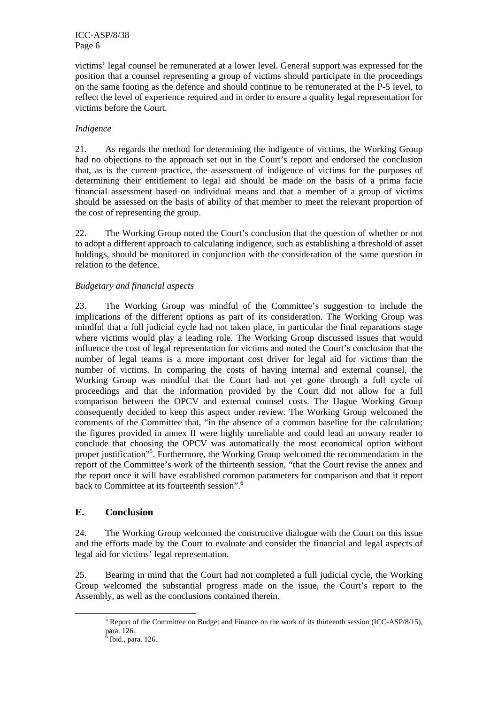victims' legal counsel be remunerated at a lower level. General support was expressed for the position that a counsel representing a group of victims should participate in the proceedings on the same footing as the defence and should continue to be remunerated at the P-5 level, to reflect the level of experience required and in order to ensure a quality legal representation for victims before the Court.

#### *Indigence*

21. As regards the method for determining the indigence of victims, the Working Group had no objections to the approach set out in the Court's report and endorsed the conclusion that, as is the current practice, the assessment of indigence of victims for the purposes of determining their entitlement to legal aid should be made on the basis of a prima facie financial assessment based on individual means and that a member of a group of victims should be assessed on the basis of ability of that member to meet the relevant proportion of the cost of representing the group.

22. The Working Group noted the Court's conclusion that the question of whether or not to adopt a different approach to calculating indigence, such as establishing a threshold of asset holdings, should be monitored in conjunction with the consideration of the same question in relation to the defence.

#### *Budgetary and financial aspects*

23. The Working Group was mindful of the Committee's suggestion to include the implications of the different options as part of its consideration. The Working Group was mindful that a full judicial cycle had not taken place, in particular the final reparations stage where victims would play a leading role. The Working Group discussed issues that would influence the cost of legal representation for victims and noted the Court's conclusion that the number of legal teams is a more important cost driver for legal aid for victims than the number of victims. In comparing the costs of having internal and external counsel, the Working Group was mindful that the Court had not yet gone through a full cycle of proceedings and that the information provided by the Court did not allow for a full comparison between the OPCV and external counsel costs. The Hague Working Group consequently decided to keep this aspect under review. The Working Group welcomed the comments of the Committee that, "in the absence of a common baseline for the calculation; the figures provided in annex II were highly unreliable and could lead an unwary reader to conclude that choosing the OPCV was automatically the most economical option without proper justification"<sup>5</sup>. Furthermore, the Working Group welcomed the recommendation in the report of the Committee's work of the thirteenth session, "that the Court revise the annex and the report once it will have established common parameters for comparison and that it report back to Committee at its fourteenth session".<sup>6</sup>

## **E. Conclusion**

24. The Working Group welcomed the constructive dialogue with the Court on this issue and the efforts made by the Court to evaluate and consider the financial and legal aspects of legal aid for victims' legal representation.

25. Bearing in mind that the Court had not completed a full judicial cycle, the Working Group welcomed the substantial progress made on the issue, the Court's report to the Assembly, as well as the conclusions contained therein.

 $\frac{1}{5}$ <sup>5</sup> Report of the Committee on Budget and Finance on the work of its thirteenth session (ICC-ASP/8/15), para. 126.

<sup>&</sup>lt;sup>6</sup> Ibid., para. 126.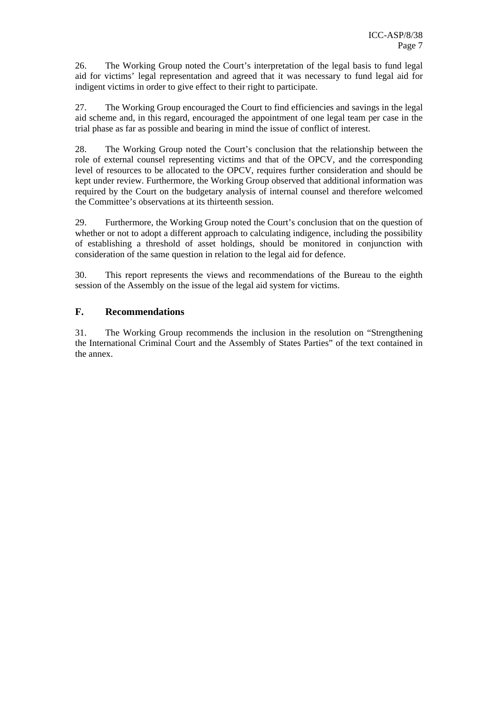26. The Working Group noted the Court's interpretation of the legal basis to fund legal aid for victims' legal representation and agreed that it was necessary to fund legal aid for indigent victims in order to give effect to their right to participate.

27. The Working Group encouraged the Court to find efficiencies and savings in the legal aid scheme and, in this regard, encouraged the appointment of one legal team per case in the trial phase as far as possible and bearing in mind the issue of conflict of interest.

28. The Working Group noted the Court's conclusion that the relationship between the role of external counsel representing victims and that of the OPCV, and the corresponding level of resources to be allocated to the OPCV, requires further consideration and should be kept under review. Furthermore, the Working Group observed that additional information was required by the Court on the budgetary analysis of internal counsel and therefore welcomed the Committee's observations at its thirteenth session.

29. Furthermore, the Working Group noted the Court's conclusion that on the question of whether or not to adopt a different approach to calculating indigence, including the possibility of establishing a threshold of asset holdings, should be monitored in conjunction with consideration of the same question in relation to the legal aid for defence.

30. This report represents the views and recommendations of the Bureau to the eighth session of the Assembly on the issue of the legal aid system for victims.

## **F. Recommendations**

31. The Working Group recommends the inclusion in the resolution on "Strengthening the International Criminal Court and the Assembly of States Parties" of the text contained in the annex.